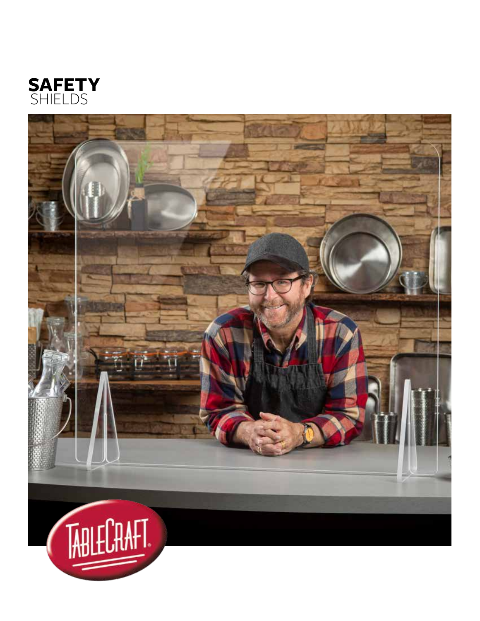

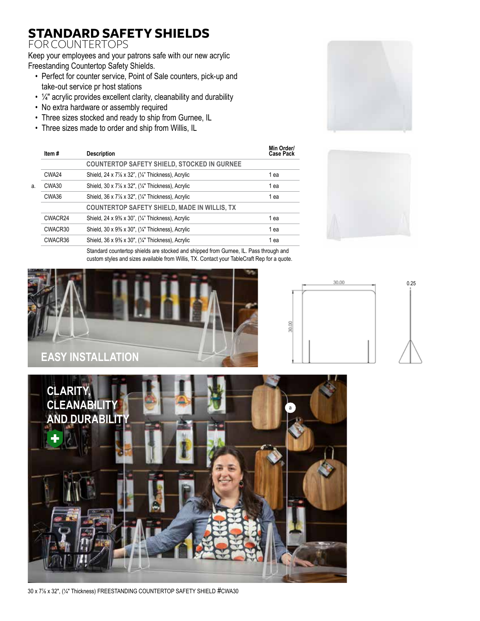## **STANDARD SAFETY SHIELDS**

### FOR COUNTERTOPS

Keep your employees and your patrons safe with our new acrylic Freestanding Countertop Safety Shields.

- Perfect for counter service, Point of Sale counters, pick-up and take-out service pr host stations
- $\frac{1}{4}$ " acrylic provides excellent clarity, cleanability and durability
- No extra hardware or assembly required
- Three sizes stocked and ready to ship from Gurnee, IL
- Three sizes made to order and ship from Willis, IL

|    | Item#   | <b>Description</b>                                  | Min Order/<br><b>Case Pack</b> |
|----|---------|-----------------------------------------------------|--------------------------------|
|    |         | <b>COUNTERTOP SAFETY SHIELD, STOCKED IN GURNEE</b>  |                                |
|    | CWA24   | Shield, 24 x 7% x 32", (1/4" Thickness), Acrylic    | 1 ea                           |
| a. | CWA30   | Shield, 30 x 7% x 32", (1/4" Thickness), Acrylic    | 1 ea                           |
|    | CWA36   | Shield, 36 x 7% x 32", (1/4" Thickness), Acrylic    | 1 ea                           |
|    |         | <b>COUNTERTOP SAFETY SHIELD, MADE IN WILLIS, TX</b> |                                |
|    | CWACR24 | Shield, 24 x 9% x 30", (1/4" Thickness), Acrylic    | 1 ea                           |
|    | CWACR30 | Shield, 30 x 9% x 30", (1/4" Thickness), Acrylic    | 1 ea                           |
|    | CWACR36 | Shield, 36 x 9% x 30", (1/4" Thickness), Acrylic    | 1 ea                           |
|    |         |                                                     |                                |





Standard countertop shields are stocked and shipped from Gurnee, IL. Pass through and custom styles and sizes available from Willis, TX. Contact your TableCraft Rep for a quote.







30 x 7⅞ x 32", (¼" Thickness) FREESTANDING COUNTERTOP SAFETY SHIELD #CWA30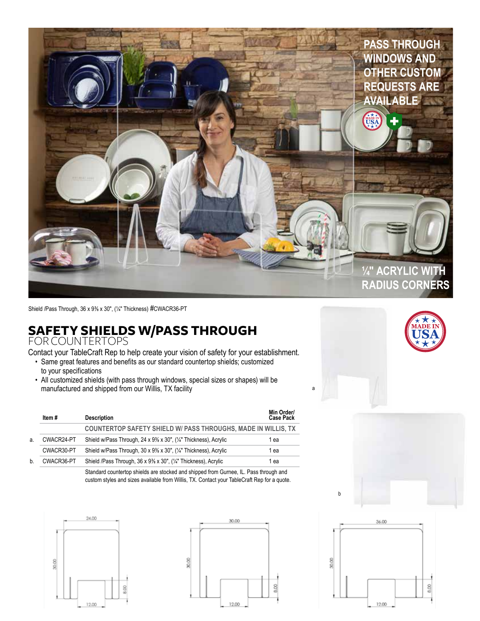

Shield /Pass Through, 36 x 9⅜ x 30", (¼" Thickness) #CWACR36-PT

# **SAFETY SHIELDS W/PASS THROUGH**

FOR COUNTERTOPS

Contact your TableCraft Rep to help create your vision of safety for your establishment.

- Same great features and benefits as our standard countertop shields; customized to your specifications
- All customized shields (with pass through windows, special sizes or shapes) will be manufactured and shipped from our Willis, TX facility

|              | Item #     | <b>Description</b>                                                   | Min Order/<br>Case Pack |
|--------------|------------|----------------------------------------------------------------------|-------------------------|
|              |            | <b>COUNTERTOP SAFETY SHIELD W/ PASS THROUGHS, MADE IN WILLIS, TX</b> |                         |
| а.           | CWACR24-PT | Shield w/Pass Through, 24 x 9% x 30", (1/4" Thickness), Acrylic      | 1 ea                    |
|              | CWACR30-PT | Shield w/Pass Through, 30 x 9% x 30", (1/4" Thickness), Acrylic      | 1 ea                    |
| <sub>h</sub> | CWACR36-PT | Shield /Pass Through, 36 x 9% x 30", (1/4" Thickness), Acrylic       | 1 ea                    |

Standard countertop shields are stocked and shipped from Gurnee, IL. Pass through and custom styles and sizes available from Willis, TX. Contact your TableCraft Rep for a quote.









a

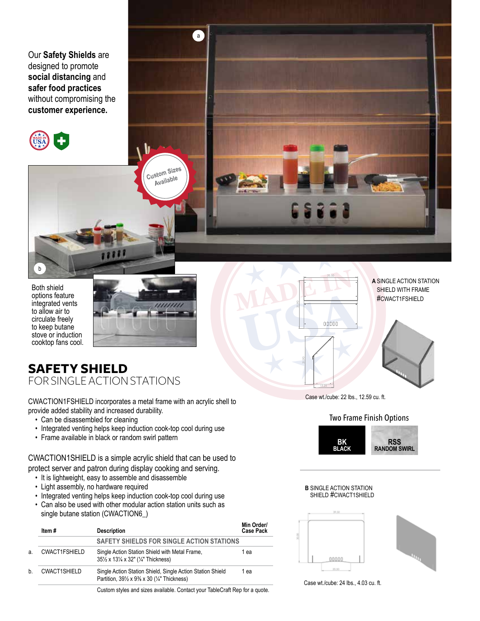Our **Safety Shields** are designed to promote **social distancing** and **safer food practices**  without compromising the **customer experience.**



Both shield options feature integrated vents to allow air to circulate freely to keep butane stove or induction cooktop fans cool.

b



**Custom Sizes Available**

a

### **SAFETY SHIELD** FOR SINGLE ACTION STATIONS

CWACTION1FSHIELD incorporates a metal frame with an acrylic shell to provide added stability and increased durability.

- Can be disassembled for cleaning
- Integrated venting helps keep induction cook-top cool during use
- Frame available in black or random swirl pattern

CWACTION1SHIELD is a simple acrylic shield that can be used to protect server and patron during display cooking and serving.

- It is lightweight, easy to assemble and disassemble
- Light assembly, no hardware required
- Integrated venting helps keep induction cook-top cool during use
- Can also be used with other modular action station units such as single butane station (CWACTION6\_)

|    | Item#                | <b>Description</b>                                                                                                                                  | Min Order/<br><b>Case Pack</b> |
|----|----------------------|-----------------------------------------------------------------------------------------------------------------------------------------------------|--------------------------------|
|    |                      | SAFETY SHIELDS FOR SINGLE ACTION STATIONS                                                                                                           |                                |
| a. | <b>CWACT1FSHIELD</b> | Single Action Station Shield with Metal Frame.<br>35½ x 13¼ x 32" (¼" Thickness)                                                                    | 1 ea                           |
| h  | <b>CWACT1SHIELD</b>  | Single Action Station Shield, Single Action Station Shield<br>Partition, $39\frac{1}{2} \times 9\frac{3}{8} \times 30$ ( $\frac{1}{4}$ " Thickness) | 1 ea                           |
|    |                      | Custom styles and sizes available. Contact your TableCraft Pen for a quote                                                                          |                                |

 13.25 31.90 PLEASE SIGN DRAWING FOR APPROVAL OF DIMENSIONS AND DESIGN. FAX

35.50

00000

31.90

Case wt./cube: 22 lbs., 12.59 cu. ft.

**A** SINGLE ACTION STATION SHIELD WITH FRAME #CWACT1FSHIELD



SCALE: 1:10 SHEET 4 OF 8



**B** SINGLE ACTION STATION SHIELD #CWACT1SHIELD



Case wt./cube: 24 lbs., 4.03 cu. ft.

Custom styles and sizes available. Contact your TableCraft Rep for a quote.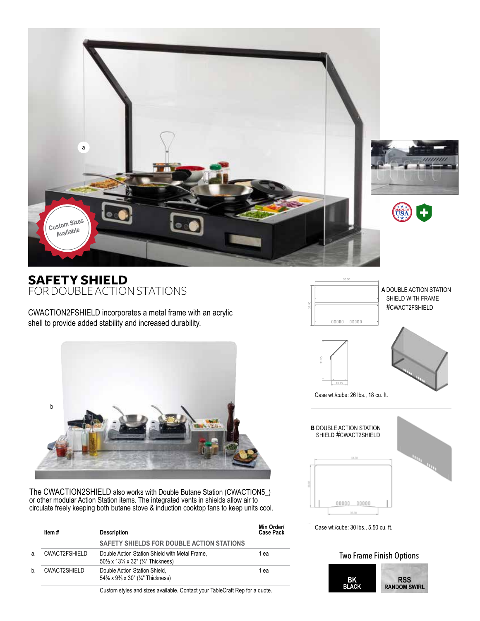

### **SAFETY SHIELD** FOR DOUBLE ACTION STATIONS

CWACTION2FSHIELD incorporates a metal frame with an acrylic shell to provide added stability and increased durability.



The CWACTION2SHIELD also works with Double Butane Station (CWACTION5\_) or other modular Action Station items. The integrated vents in shields allow air to circulate freely keeping both butane stove & induction cooktop fans to keep units cool.

|    | Item #        | <b>Description</b>                                                                                                        | Min Order/<br><b>Case Pack</b> |
|----|---------------|---------------------------------------------------------------------------------------------------------------------------|--------------------------------|
|    |               | SAFETY SHIELDS FOR DOUBLE ACTION STATIONS                                                                                 |                                |
| a. | CWACT2FSHIELD | Double Action Station Shield with Metal Frame,<br>$50\frac{1}{2}$ x $13\frac{1}{4}$ x $32$ " ( $\frac{1}{4}$ " Thickness) | 1 ea                           |
| h  | CWACT2SHIELD  | Double Action Station Shield,<br>54% x 9% x 30" (1/4" Thickness)                                                          | 1 ea                           |

Custom styles and sizes available. Contact your TableCraft Rep for a quote.







Case wt./cube: 26 lbs., 18 cu. ft.



#### Two Frame Finish Options

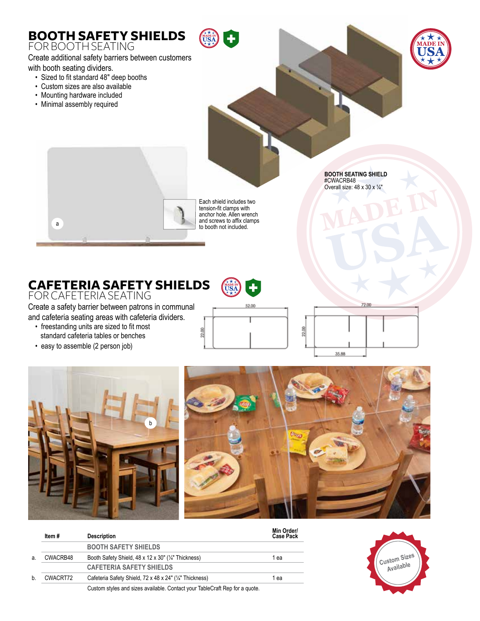

## **CAFETERIA SAFETY SHIELDS**

FOR CAFETERIA SEATING

Create a safety barrier between patrons in communal and cafeteria seating areas with cafeteria dividers.

- freestanding units are sized to fit most standard cafeteria tables or benches
- easy to assemble (2 person job)



╉

USA<sup>N</sup>







|    | Item#    | <b>Description</b>                                                          | Min Order/<br><b>Case Pack</b> |
|----|----------|-----------------------------------------------------------------------------|--------------------------------|
|    |          | <b>BOOTH SAFETY SHIELDS</b>                                                 |                                |
| а. | CWACRB48 | Booth Safety Shield, 48 x 12 x 30" (1/4" Thickness)                         | 1 ea                           |
|    |          | <b>CAFETERIA SAFETY SHIELDS</b>                                             |                                |
| b. | CWACRT72 | Cafeteria Safety Shield, 72 x 48 x 24" (1/4" Thickness)                     | 1 ea                           |
|    |          | Custom styles and sizes available. Contact your TableCraft Rep for a quote. |                                |

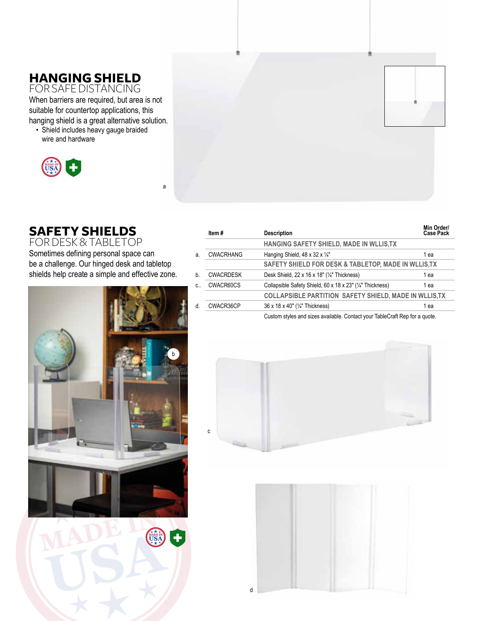# **HANGING SHIELD**

FOR SAFE DISTANCING When barriers are required, but area is not suitable for countertop applications, this hanging shield is a great alternative solution.

• Shield includes heavy gauge braided wire and hardware



## **SAFETY SHIELDS**

FOR DESK &TABLETOP Sometimes defining personal space can be a challenge. Our hinged desk and tabletop shields help create a simple and effective zone.

a



|              | Item#            | <b>Description</b>                                                          | Min Order/<br><b>Case Pack</b> |
|--------------|------------------|-----------------------------------------------------------------------------|--------------------------------|
|              |                  | HANGING SAFETY SHIELD, MADE IN WLLIS, TX                                    |                                |
| a.           | <b>CWACRHANG</b> | Hanging Shield, $48 \times 32 \times \frac{1}{4}$                           | 1 ea                           |
|              |                  | SAFETY SHIELD FOR DESK & TABLETOP, MADE IN WLLIS, TX                        |                                |
| <sub>h</sub> | <b>CWACRDESK</b> | Desk Shield, $22 \times 16 \times 18"$ ( $\frac{1}{4"}$ Thickness)          | 1 ea                           |
| $C_{\cdot}$  | CWACR60CS        | Collapsible Safety Shield, 60 x 18 x 23" (1/4" Thickness)                   | 1 ea                           |
|              |                  | <b>COLLAPSIBLE PARTITION SAFETY SHIELD, MADE IN WLLIS, TX</b>               |                                |
| d            | CWACR36CP        | 36 x 18 x 40" (1/4" Thickness)                                              | 1 ea                           |
|              |                  | Custom styles and sizes available. Contact your TableCraft Rep for a quote. |                                |